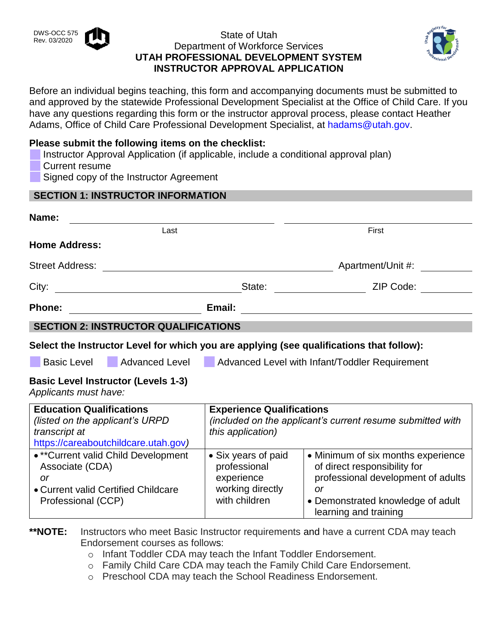### State of Utah Department of Workforce Services **UTAH PROFESSIONAL DEVELOPMENT SYSTEM INSTRUCTOR APPROVAL APPLICATION**



Before an individual begins teaching, this form and accompanying documents must be submitted to and approved by the statewide Professional Development Specialist at the Office of Child Care. If you have any questions regarding this form or the instructor approval process, please contact Heather Adams, Office of Child Care Professional Development Specialist, at [hadams@utah.gov.](mailto:hadams@utah.gov)

### **Please submit the following items on the checklist:**

 Instructor Approval Application (if applicable, include a conditional approval plan) Current resume Signed copy of the Instructor Agreement

|                                                                     | <b>SECTION 1: INSTRUCTOR INFORMATION</b>    |                                                               |                                                                                                                                                                                                                                             |
|---------------------------------------------------------------------|---------------------------------------------|---------------------------------------------------------------|---------------------------------------------------------------------------------------------------------------------------------------------------------------------------------------------------------------------------------------------|
| Name:                                                               |                                             |                                                               |                                                                                                                                                                                                                                             |
|                                                                     | Last                                        |                                                               | First                                                                                                                                                                                                                                       |
| <b>Home Address:</b>                                                |                                             |                                                               |                                                                                                                                                                                                                                             |
| <b>Street Address:</b>                                              |                                             | <u> 1989 - Johann Stein, mars an deutscher Stein († 1989)</u> | Apartment/Unit #:                                                                                                                                                                                                                           |
|                                                                     |                                             |                                                               | ZIP Code:<br>State: The State of the State of the State of the State of the State of the State of the State of the State of the State of the State of the State of the State of the State of the State of the State of the State of the Sta |
|                                                                     |                                             | Email:                                                        | <u> 1980 - Jan Samuel Barbara, martin di sebagai personal di sebagai personal di sebagai personal di sebagai per</u>                                                                                                                        |
|                                                                     | <b>SECTION 2: INSTRUCTOR QUALIFICATIONS</b> |                                                               |                                                                                                                                                                                                                                             |
|                                                                     |                                             |                                                               | Select the Instructor Level for which you are applying (see qualifications that follow):                                                                                                                                                    |
|                                                                     |                                             |                                                               | Basic Level Advanced Level Advanced Level with Infant/Toddler Requirement                                                                                                                                                                   |
| <b>Basic Level Instructor (Levels 1-3)</b><br>Applicants must have: |                                             |                                                               |                                                                                                                                                                                                                                             |
| <b>Education Qualifications</b>                                     |                                             | <b>Experience Qualifications</b>                              |                                                                                                                                                                                                                                             |

| <b>Education Qualifications</b><br>(listed on the applicant's URPD<br>transcript at<br>https://careaboutchildcare.utah.gov) | <b>Experience Qualifications</b><br>(included on the applicant's current resume submitted with<br>this application) |                                                                                                                                                                              |  |
|-----------------------------------------------------------------------------------------------------------------------------|---------------------------------------------------------------------------------------------------------------------|------------------------------------------------------------------------------------------------------------------------------------------------------------------------------|--|
| • ** Current valid Child Development<br>Associate (CDA)<br>or<br>• Current valid Certified Childcare<br>Professional (CCP)  | • Six years of paid<br>professional<br>experience<br>working directly<br>with children                              | • Minimum of six months experience<br>of direct responsibility for<br>professional development of adults<br>Ωľ<br>• Demonstrated knowledge of adult<br>learning and training |  |

\*\***NOTE:** Instructors who meet Basic Instructor requirements and have a current CDA may teach Endorsement courses as follows:

o Infant Toddler CDA may teach the Infant Toddler Endorsement.

o Family Child Care CDA may teach the Family Child Care Endorsement.

o Preschool CDA may teach the School Readiness Endorsement.